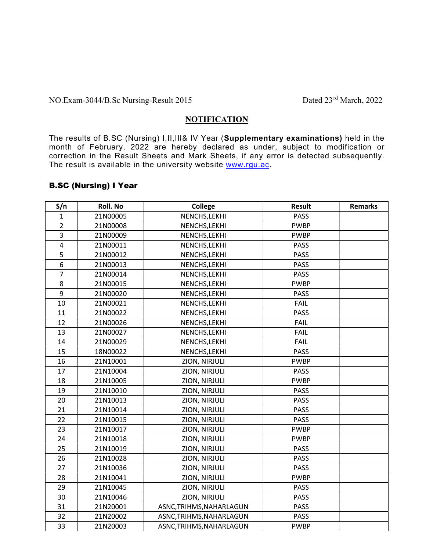## NO.Exam-3044/B.Sc Nursing-Result 2015 Dated 23<sup>rd</sup> March, 2022

### **NOTIFICATION**

The results of B.SC (Nursing) I,II,III& IV Year (Supplementary examinations) held in the month of February, 2022 are hereby declared as under, subject to modification or correction in the Result Sheets and Mark Sheets, if any error is detected subsequently. The result is available in the university website www.rgu.ac.

#### B.SC (Nursing) I Year

| S/n                     | Roll. No | <b>College</b>           | <b>Result</b> | <b>Remarks</b> |
|-------------------------|----------|--------------------------|---------------|----------------|
| $\mathbf{1}$            | 21N00005 | NENCHS, LEKHI            | <b>PASS</b>   |                |
| $\overline{2}$          | 21N00008 | NENCHS, LEKHI            | <b>PWBP</b>   |                |
| 3                       | 21N00009 | NENCHS, LEKHI            | <b>PWBP</b>   |                |
| $\overline{\mathbf{4}}$ | 21N00011 | NENCHS, LEKHI            | <b>PASS</b>   |                |
| 5                       | 21N00012 | NENCHS, LEKHI            | <b>PASS</b>   |                |
| 6                       | 21N00013 | NENCHS, LEKHI            | <b>PASS</b>   |                |
| $\overline{7}$          | 21N00014 | NENCHS, LEKHI            | <b>PASS</b>   |                |
| 8                       | 21N00015 | NENCHS, LEKHI            | <b>PWBP</b>   |                |
| 9                       | 21N00020 | NENCHS, LEKHI            | <b>PASS</b>   |                |
| 10                      | 21N00021 | NENCHS, LEKHI            | <b>FAIL</b>   |                |
| 11                      | 21N00022 | NENCHS, LEKHI            | <b>PASS</b>   |                |
| 12                      | 21N00026 | NENCHS, LEKHI            | FAIL          |                |
| 13                      | 21N00027 | NENCHS, LEKHI            | <b>FAIL</b>   |                |
| 14                      | 21N00029 | NENCHS, LEKHI            | <b>FAIL</b>   |                |
| 15                      | 18N00022 | NENCHS, LEKHI            | <b>PASS</b>   |                |
| 16                      | 21N10001 | ZION, NIRJULI            | <b>PWBP</b>   |                |
| 17                      | 21N10004 | ZION, NIRJULI            | <b>PASS</b>   |                |
| 18                      | 21N10005 | ZION, NIRJULI            | <b>PWBP</b>   |                |
| 19                      | 21N10010 | ZION, NIRJULI            | <b>PASS</b>   |                |
| 20                      | 21N10013 | ZION, NIRJULI            | <b>PASS</b>   |                |
| 21                      | 21N10014 | ZION, NIRJULI            | <b>PASS</b>   |                |
| 22                      | 21N10015 | ZION, NIRJULI            | PASS          |                |
| 23                      | 21N10017 | ZION, NIRJULI            | <b>PWBP</b>   |                |
| 24                      | 21N10018 | ZION, NIRJULI            | <b>PWBP</b>   |                |
| 25                      | 21N10019 | ZION, NIRJULI            | <b>PASS</b>   |                |
| 26                      | 21N10028 | ZION, NIRJULI            | <b>PASS</b>   |                |
| 27                      | 21N10036 | ZION, NIRJULI            | <b>PASS</b>   |                |
| 28                      | 21N10041 | ZION, NIRJULI            | <b>PWBP</b>   |                |
| 29                      | 21N10045 | ZION, NIRJULI            | <b>PASS</b>   |                |
| 30                      | 21N10046 | ZION, NIRJULI            | <b>PASS</b>   |                |
| 31                      | 21N20001 | ASNC, TRIHMS, NAHARLAGUN | PASS          |                |
| 32                      | 21N20002 | ASNC, TRIHMS, NAHARLAGUN | <b>PASS</b>   |                |
| 33                      | 21N20003 | ASNC, TRIHMS, NAHARLAGUN | <b>PWBP</b>   |                |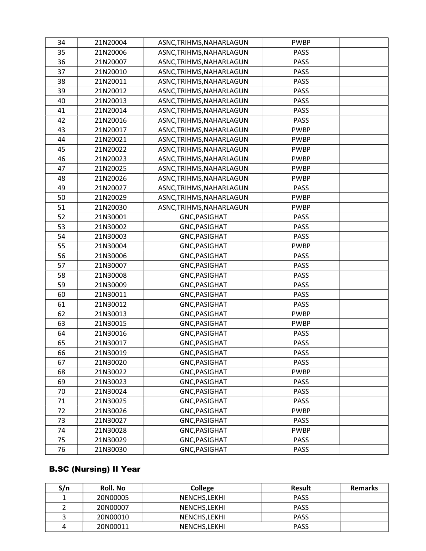| 34 | 21N20004 | ASNC, TRIHMS, NAHARLAGUN | <b>PWBP</b> |
|----|----------|--------------------------|-------------|
| 35 | 21N20006 | ASNC, TRIHMS, NAHARLAGUN | <b>PASS</b> |
| 36 | 21N20007 | ASNC, TRIHMS, NAHARLAGUN | <b>PASS</b> |
| 37 | 21N20010 | ASNC, TRIHMS, NAHARLAGUN | <b>PASS</b> |
| 38 | 21N20011 | ASNC, TRIHMS, NAHARLAGUN | <b>PASS</b> |
| 39 | 21N20012 | ASNC, TRIHMS, NAHARLAGUN | <b>PASS</b> |
| 40 | 21N20013 | ASNC, TRIHMS, NAHARLAGUN | <b>PASS</b> |
| 41 | 21N20014 | ASNC, TRIHMS, NAHARLAGUN | <b>PASS</b> |
| 42 | 21N20016 | ASNC, TRIHMS, NAHARLAGUN | <b>PASS</b> |
| 43 | 21N20017 | ASNC, TRIHMS, NAHARLAGUN | <b>PWBP</b> |
| 44 | 21N20021 | ASNC, TRIHMS, NAHARLAGUN | <b>PWBP</b> |
| 45 | 21N20022 | ASNC, TRIHMS, NAHARLAGUN | <b>PWBP</b> |
| 46 | 21N20023 | ASNC, TRIHMS, NAHARLAGUN | <b>PWBP</b> |
| 47 | 21N20025 | ASNC, TRIHMS, NAHARLAGUN | <b>PWBP</b> |
| 48 | 21N20026 | ASNC, TRIHMS, NAHARLAGUN | <b>PWBP</b> |
| 49 | 21N20027 | ASNC, TRIHMS, NAHARLAGUN | <b>PASS</b> |
| 50 | 21N20029 | ASNC, TRIHMS, NAHARLAGUN | <b>PWBP</b> |
| 51 | 21N20030 | ASNC, TRIHMS, NAHARLAGUN | <b>PWBP</b> |
| 52 | 21N30001 | GNC, PASIGHAT            | <b>PASS</b> |
| 53 | 21N30002 | GNC, PASIGHAT            | <b>PASS</b> |
| 54 | 21N30003 | GNC, PASIGHAT            | <b>PASS</b> |
| 55 | 21N30004 | GNC, PASIGHAT            | <b>PWBP</b> |
| 56 | 21N30006 | GNC, PASIGHAT            | <b>PASS</b> |
| 57 | 21N30007 | GNC, PASIGHAT            | <b>PASS</b> |
| 58 | 21N30008 | GNC, PASIGHAT            | <b>PASS</b> |
| 59 | 21N30009 | GNC, PASIGHAT            | <b>PASS</b> |
| 60 | 21N30011 | GNC, PASIGHAT            | <b>PASS</b> |
| 61 | 21N30012 | GNC, PASIGHAT            | <b>PASS</b> |
| 62 | 21N30013 | <b>GNC, PASIGHAT</b>     | <b>PWBP</b> |
| 63 | 21N30015 | <b>GNC, PASIGHAT</b>     | <b>PWBP</b> |
| 64 | 21N30016 | GNC, PASIGHAT            | <b>PASS</b> |
| 65 | 21N30017 | GNC, PASIGHAT            | <b>PASS</b> |
| 66 | 21N30019 | GNC, PASIGHAT            | <b>PASS</b> |
| 67 | 21N30020 | GNC, PASIGHAT            | <b>PASS</b> |
| 68 | 21N30022 | GNC, PASIGHAT            | <b>PWBP</b> |
| 69 | 21N30023 | GNC, PASIGHAT            | <b>PASS</b> |
| 70 | 21N30024 | GNC, PASIGHAT            | <b>PASS</b> |
| 71 | 21N30025 | GNC, PASIGHAT            | PASS        |
| 72 | 21N30026 | GNC, PASIGHAT            | <b>PWBP</b> |
| 73 | 21N30027 | GNC, PASIGHAT            | <b>PASS</b> |
| 74 | 21N30028 | GNC, PASIGHAT            | <b>PWBP</b> |
| 75 | 21N30029 | GNC, PASIGHAT            | <b>PASS</b> |
| 76 | 21N30030 | GNC, PASIGHAT            | PASS        |

# B.SC (Nursing) II Year

| S/n | <b>Roll. No</b> | <b>College</b> | Result      | <b>Remarks</b> |
|-----|-----------------|----------------|-------------|----------------|
|     | 20N00005        | NENCHS, LEKHI  | <b>PASS</b> |                |
|     | 20N00007        | NENCHS.LEKHI   | <b>PASS</b> |                |
|     | 20N00010        | NENCHS.LEKHI   | <b>PASS</b> |                |
|     | 20N00011        | NENCHS.LEKHI   | <b>PASS</b> |                |